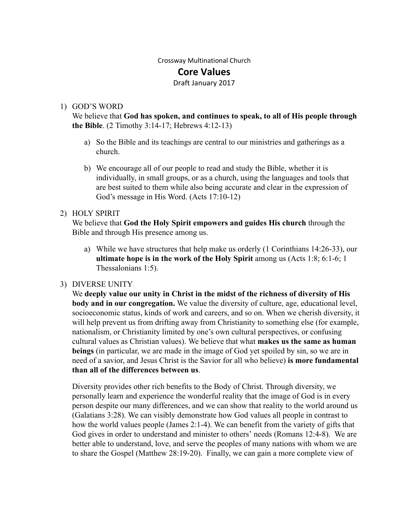# Crossway Multinational Church

## **Core Values**

#### Draft January 2017

#### 1) GOD'S WORD

We believe that **God has spoken, and continues to speak, to all of His people through the Bible.**  $(2$  Timothy  $3:14-17$ ; Hebrews  $4:12-13$ )

- a) So the Bible and its teachings are central to our ministries and gatherings as a church.
- b) We encourage all of our people to read and study the Bible, whether it is individually, in small groups, or as a church, using the languages and tools that are best suited to them while also being accurate and clear in the expression of God's message in His Word. (Acts 17:10-12)

#### 2) HOLY SPIRIT

We believe that God the Holy Spirit empowers and guides His church through the Bible and through His presence among us.

a) While we have structures that help make us orderly  $(1$  Corinthians  $14:26-33$ , our **ultimate hope is in the work of the Holy Spirit among us (Acts 1:8; 6:1-6; 1)** Thessalonians 1:5).

### 3) DIVERSE UNITY

We **deeply value our unity in Christ in the midst of the richness of diversity of His body and in our congregation.** We value the diversity of culture, age, educational level, socioeconomic status, kinds of work and careers, and so on. When we cherish diversity, it will help prevent us from drifting away from Christianity to something else (for example, nationalism, or Christianity limited by one's own cultural perspectives, or confusing cultural values as Christian values). We believe that what **makes us the same as human beings** (in particular, we are made in the image of God yet spoiled by sin, so we are in need of a savior, and Jesus Christ is the Savior for all who believe) **is more fundamental than all of the differences between us** .

Diversity provides other rich benefits to the Body of Christ. Through diversity, we personally learn and experience the wonderful reality that the image of God is in every person despite our many differences, and we can show that reality to the world around us (Galatians 3:28). We can visibly demonstrate how God values all people in contrast to how the world values people (James 2:1-4). We can benefit from the variety of gifts that God gives in order to understand and minister to others' needs (Romans 12:4-8). We are better able to understand, love, and serve the peoples of many nations with whom we are to share the Gospel (Matthew 28:19-20). Finally, we can gain a more complete view of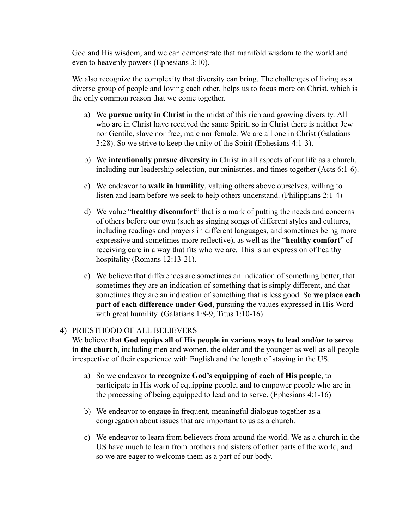God and His wisdom, and we can demonstrate that manifold wisdom to the world and even to heavenly powers (Ephesians 3:10).

We also recognize the complexity that diversity can bring. The challenges of living as a diverse group of people and loving each other, helps us to focus more on Christ, which is the only common reason that we come together.

- a) We **pursue unity in Christ** in the midst of this rich and growing diversity. All who are in Christ have received the same Spirit, so in Christ there is neither Jew nor Gentile, slave nor free, male nor female. We are all one in Christ (Galatians 3:28). So we strive to keep the unity of the Spirit (Ephesians 4:13).
- b) We **intentionally pursue diversity**  in Christ in all aspects of our life as a church, including our leadership selection, our ministries, and times together (Acts 6:1-6).
- c) We endeavor to **walk in humility** , valuing others above ourselves, willing to listen and learn before we seek to help others understand. (Philippians 2:1-4)
- d) We value "**healthy discomfort**" that is a mark of putting the needs and concerns of others before our own (such as singing songs of different styles and cultures, including readings and prayers in different languages, and sometimes being more expressive and sometimes more reflective), as well as the "**healthy comfort**" of receiving care in a way that fits who we are. This is an expression of healthy hospitality (Romans 12:13-21).
- e) We believe that differences are sometimes an indication of something better, that sometimes they are an indication of something that is simply different, and that sometimes they are an indication of something that is less good. So **we place each part of each difference under God**, pursuing the values expressed in His Word with great humility.  $(Galatians 1:8-9; Titus 1:10-16)$

#### 4) PRIESTHOOD OF ALL BELIEVERS

We believe that **God equips all of His people in various ways to lead and/or to serve in the church**, including men and women, the older and the younger as well as all people irrespective of their experience with English and the length of staying in the US.

- a) So we endeavor to  **recognize God's equipping of each of His people** , to participate in His work of equipping people, and to empower people who are in the processing of being equipped to lead and to serve. (Ephesians  $4:1-16$ )
- b) We endeavor to engage in frequent, meaningful dialogue together as a congregation about issues that are important to us as a church.
- c) We endeavor to learn from believers from around the world. We as a church in the US have much to learn from brothers and sisters of other parts of the world, and so we are eager to welcome them as a part of our body.